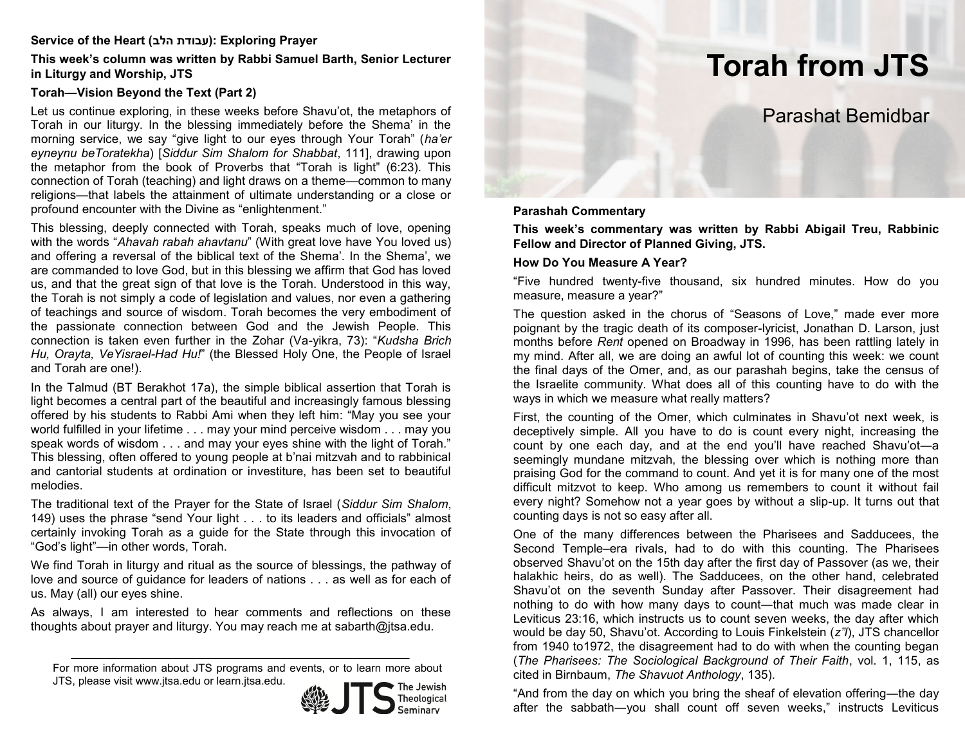#### **Service of the Heart (הלב עבודת(: Exploring Prayer**

#### **This week's column was written by Rabbi Samuel Barth, Senior Lecturer in Liturgy and Worship, JTS**

## **Torah—Vision Beyond the Text (Part 2)**

Let us continue exploring, in these weeks before Shavu'ot, the metaphors of Torah in our liturgy. In the blessing immediately before the Shema' in the morning service, we say "give light to our eyes through Your Torah" (*ha'er eyneynu beToratekha*) [*Siddur Sim Shalom for Shabbat*, 111], drawing upon the metaphor from the book of Proverbs that "Torah is light" (6:23). This connection of Torah (teaching) and light draws on a theme—common to many religions—that labels the attainment of ultimate understanding or a close or profound encounter with the Divine as "enlightenment."

This blessing, deeply connected with Torah, speaks much of love, opening with the words "*Ahavah rabah ahavtanu*" (With great love have You loved us) and offering a reversal of the biblical text of the Shema'. In the Shema', we are commanded to love God, but in this blessing we affirm that God has loved us, and that the great sign of that love is the Torah. Understood in this way, the Torah is not simply a code of legislation and values, nor even a gathering of teachings and source of wisdom. Torah becomes the very embodiment of the passionate connection between God and the Jewish People. This connection is taken even further in the Zohar (Va-yikra, 73): "*Kudsha Brich Hu, Orayta, VeYisrael-Had Hu!*" (the Blessed Holy One, the People of Israel and Torah are one!).

In the Talmud (BT Berakhot 17a), the simple biblical assertion that Torah is light becomes a central part of the beautiful and increasingly famous blessing offered by his students to Rabbi Ami when they left him: "May you see your world fulfilled in your lifetime . . . may your mind perceive wisdom . . . may you speak words of wisdom . . . and may your eyes shine with the light of Torah." This blessing, often offered to young people at b'nai mitzvah and to rabbinical and cantorial students at ordination or investiture, has been set to beautiful melodies.

The traditional text of the Prayer for the State of Israel (*Siddur Sim Shalom*, 149) uses the phrase "send Your light . . . to its leaders and officials" almost certainly invoking Torah as a guide for the State through this invocation of "God's light"—in other words, Torah.

We find Torah in liturgy and ritual as the source of blessings, the pathway of love and source of guidance for leaders of nations . . . as well as for each of us. May (all) our eyes shine.

As always, I am interested to hear comments and reflections on these thoughts about prayer and liturgy. You may reach me at sabarth@jtsa.edu.

JTS, please visit www.jtsa.edu or learn.jtsa.edu.



# **Torah from JTS**

# Parashat Bemidbar

#### **Parashah Commentary**

**This week's commentary was written by Rabbi Abigail Treu, Rabbinic Fellow and Director of Planned Giving, JTS.**

#### **How Do You Measure A Year?**

"Five hundred twenty-five thousand, six hundred minutes. How do you measure, measure a year?"

The question asked in the chorus of "Seasons of Love," made ever more poignant by the tragic death of its composer-lyricist, Jonathan D. Larson, just months before *Rent* opened on Broadway in 1996, has been rattling lately in my mind. After all, we are doing an awful lot of counting this week: we count the final days of the Omer, and, as our parashah begins, take the census of the Israelite community. What does all of this counting have to do with the ways in which we measure what really matters?

First, the counting of the Omer, which culminates in Shavu'ot next week, is deceptively simple. All you have to do is count every night, increasing the count by one each day, and at the end you'll have reached Shavu'ot―a seemingly mundane mitzvah, the blessing over which is nothing more than praising God for the command to count. And yet it is for many one of the most difficult mitzvot to keep. Who among us remembers to count it without fail every night? Somehow not a year goes by without a slip-up. It turns out that counting days is not so easy after all.

One of the many differences between the Pharisees and Sadducees, the Second Temple–era rivals, had to do with this counting. The Pharisees observed Shavu'ot on the 15th day after the first day of Passover (as we, their halakhic heirs, do as well). The Sadducees, on the other hand, celebrated Shavu'ot on the seventh Sunday after Passover. Their disagreement had nothing to do with how many days to count—that much was made clear in Leviticus 23:16, which instructs us to count seven weeks, the day after which would be day 50, Shavu'ot. According to Louis Finkelstein (*z"l*), JTS chancellor from 1940 to1972, the disagreement had to do with when the counting began (*The Pharisees: The Sociological Background of Their Faith*, vol. 1, 115, as cited in Birnbaum, *The Shavuot Anthology*, 135).

"And from the day on which you bring the sheaf of elevation offering—the day after the sabbath―you shall count off seven weeks," instructs Leviticus

For more information about JTS programs and events, or to learn more about